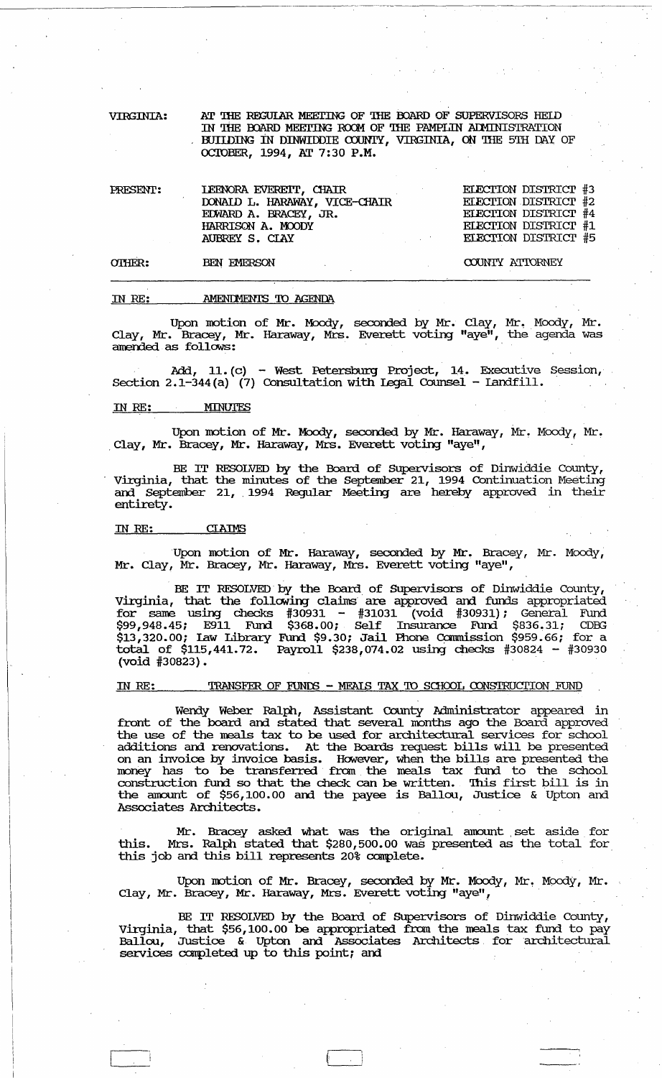VIRGINIA: AT THE REGULAR MEETING OF THE BOARD OF SUPERVISORS HELD IN THE BOARD MEETING ROOM OF THE PAMPLIN ADMINISTRATION BUILDING IN DINWIDDIE COUNTY, VIRGINIA, ON THE 5TH DAY OF OCIOBER, 1994, AT 7: 30 P.M.

| PRESENT:      | <b>LEENORA EVERETT, CHAIR</b>                         | ELECTION DISTRICT #3        |
|---------------|-------------------------------------------------------|-----------------------------|
|               | DONAID L. HARAWAY, VICE-CHAIR                         | ELECTION DISTRICT #2        |
|               | EDWARD A. BRACEY, JR.                                 | <b>ELECTION DISTRICT #4</b> |
|               | HARRISON A. MOODY                                     | <b>ELECTION DISTRICT #1</b> |
|               | AUBREY S. CIAY<br>the contract of the contract of the | <b>ELECTION DISTRICT #5</b> |
| <b>OTHER:</b> | <b>BEN FMERSON</b>                                    | <b>COUNTY ATTORNEY</b>      |

#### IN *RE:*  AMENDMENTS TO AGENDA

Upon motion of Mr. Moody, seconded by Mr. Clay, Mr. Moody, Mr. Clay, Mr. Bracey, Mr. Haraway, Mrs. Everett voting "aye", the agenda was amended as follows:

Add, 11. (c) - West Petersburg Project, 14. Executive Session, Section 2.1-344(a) (7) Consultation with Legal Counsel - Iandfill.

### IN RE: **MINUTES**

Upon motion of Mr. Moody, seconded by Mr. Haraway, Mr. Moody, Mr. Clay, Mr. Bracey, Mr. Haraway, Mrs. Everett voting "aye",

BE IT RESOLVED by the Board of Supervisors of Dinwiddie County, Virginia, that the minutes of the September 21, 1994 Continuation Meeting and September 21, 1994 Regular Meeting are hereby approved in their entirety.

#### IN *RE:*  CLAIMS

Upon motion of Mr. Haraway, seconded by Mr. Bracey, Mr. Moody, Mr. Clay, Mr. Bracey, Mr. Haraway, Mrs. Everett voting "aye",

BE IT RESOLVED by the Board of Supervisors of Dinwiddie County, Virginia, that the following claims are approved and funds appropriated for same using checks #30931 - #31031 (void #30931); General Fund \$99,948.45; E911 Fund \$368.00; Self Insurance Fund \$836.31; CDBG \$13,320.00; Law Library Fund \$9.30; Jail Phone Commission \$959.66; for a total of \$115,441.72. Payroll \$238,074.02 using checks #30824 - #30930 (void #30823). .

# IN RE: TRANSFER OF FUNDS - MEALS TAX TO SCHOOL CONSTRUCTION FUND

Wendy Weber Ralph, Assistant County Administrator appeared in front of the board and stated that several months ago the Board approved the use of the meals tax to be used for architectural services for school additions and renovations. At the Boards request bills will be presented on an irwoice by irwoice basis. However, when the bills are presented the money has to be transferred from the meals tax fund to the school construction fund so that the check can be written. This first bill is in the amount of \$56,100.00 and the payee is Ballou, Justice & Upton and Associates Architects.

Mr. Bracey asked what was the original amount set aside for this. Mrs. Ralph stated that \$280,500.00 was presented as the total for this. Mrs. Ralph stated that \$280,500.00 was this job and this bill represents 20% complete.

Upon motion of Mr. Bracey, seconded by Mr. Moody, Mr. Moody, Mr. Clay, Mr. Bracey, Mr. Haraway, Mrs. Everett voting "aye",

BE IT RESOLVED by the Board of SUpervisors of Dinwiddie County, Virginia, that  $$56,100.00$  be appropriated from the meals tax fund to pay Ballou, Justice & Upton and Associates Architects for architectural services completed up to this point; and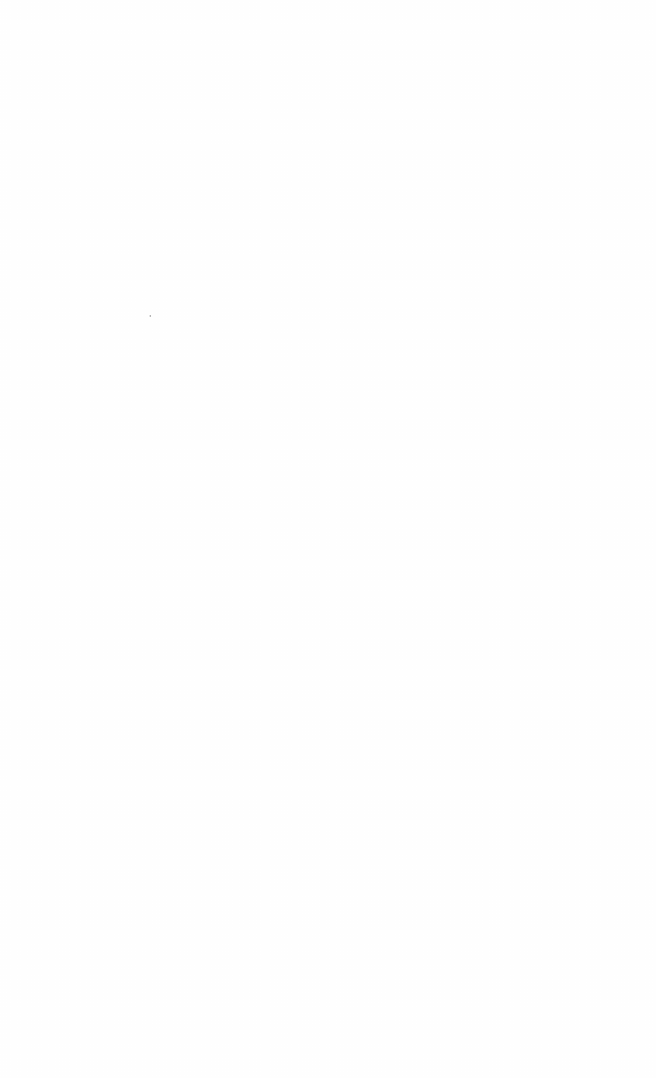$\label{eq:2.1} \frac{1}{\sqrt{2}}\left(\frac{1}{\sqrt{2}}\right)^{2} \left(\frac{1}{\sqrt{2}}\right)^{2} \left(\frac{1}{\sqrt{2}}\right)^{2} \left(\frac{1}{\sqrt{2}}\right)^{2} \left(\frac{1}{\sqrt{2}}\right)^{2} \left(\frac{1}{\sqrt{2}}\right)^{2} \left(\frac{1}{\sqrt{2}}\right)^{2} \left(\frac{1}{\sqrt{2}}\right)^{2} \left(\frac{1}{\sqrt{2}}\right)^{2} \left(\frac{1}{\sqrt{2}}\right)^{2} \left(\frac{1}{\sqrt{2}}\right)^{2} \left(\$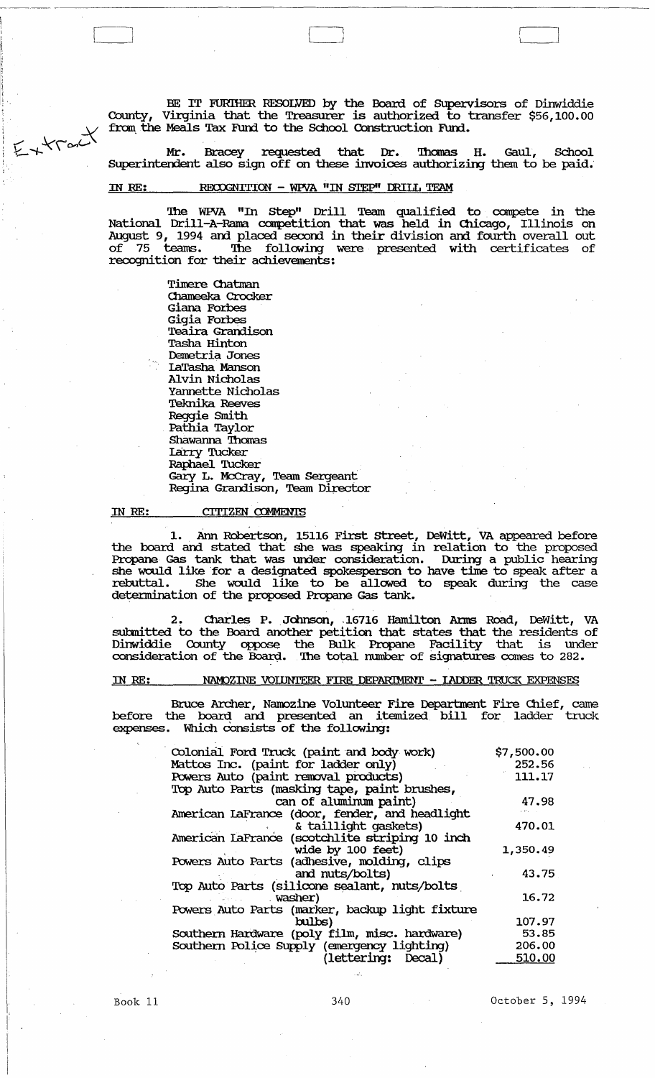BE IT FURTHER RESOLVED by the Board of Supervisors of Dinwiddie<br>County, Virginia that the Treasurer is authorized to transfer \$56,100.00 from the Meals Tax Fund to the School Construction Fund.

Mr. Bracey requested that Dr. Thomas H. Gaul, School Superintendent also sign off on these invoices authorizing them to be paid.

#### RECOGNITION - WPVA "IN SIEP" DRILL TEAM IN RE:

The WPVA "In Step" Drill Team qualified to compete in the<br>National Drill-A-Rama competition that was held in Chicago, Illinois on<br>August 9, 1994 and placed second in their division and fourth overall out of 75 teams. The following were presented with certificates of recognition for their achievements:

> Timere Chatman Chameeka Crocker Giana Forbes Gigia Forbes Teaira Grandison Tasha Hinton Demetria Jones LaTasha Manson Alvin Nicholas Yannette Nicholas Teknika Reeves Reggie Smith Pathia Taylor Shawanna Thomas Larry Tucker Raphael Tucker Gary L. McCray, Team Sergeant Regina Grandison, Team Director

#### IN RE: CITIZEN COMMENTS

+tract

1. Ann Robertson, 15116 First Street, DeWitt, VA appeared before the board and stated that she was speaking in relation to the proposed Propane Gas tank that was under consideration. During a public hearing she would like

Charles P. Johnson, 16716 Hamilton Arms Road, DeWitt, VA  $2.$ submitted to the Board another petition that states that the residents of<br>Dinwiddie County oppose the Bulk Propane Facility that is under<br>consideration of the Board. The total number of signatures comes to 282.

#### NAMOZINE VOLUNIEER FIRE DEPARIMENT - LADDER TRUCK EXPENSES IN RE:

Bruce Archer, Namozine Volunteer Fire Department Fire Chief, came<br>before the board and presented an itemized bill for ladder truck expenses. Which consists of the following:

| 252.56<br>Powers Auto (paint removal products)<br>111.17<br>Top Auto Parts (masking tape, paint brushes,<br>can of aluminum paint)<br>47.98<br>American LaFrance (door, fender, and headlight<br>& taillight gaskets)<br>470.01<br>American LaFrance (scotchlite striping 10 inch<br>wide by 100 feet)<br>1,350.49<br>Powers Auto Parts (adhesive, molding, clips<br>43.75<br>and nuts/bolts)<br>Top Auto Parts (silicone sealant, nuts/bolts | Colonial Ford Truck (paint and body work) | \$7,500.00 |  |  |
|-----------------------------------------------------------------------------------------------------------------------------------------------------------------------------------------------------------------------------------------------------------------------------------------------------------------------------------------------------------------------------------------------------------------------------------------------|-------------------------------------------|------------|--|--|
|                                                                                                                                                                                                                                                                                                                                                                                                                                               | Mattos Inc. (paint for ladder only)       |            |  |  |
|                                                                                                                                                                                                                                                                                                                                                                                                                                               |                                           |            |  |  |
|                                                                                                                                                                                                                                                                                                                                                                                                                                               |                                           |            |  |  |
|                                                                                                                                                                                                                                                                                                                                                                                                                                               |                                           |            |  |  |
|                                                                                                                                                                                                                                                                                                                                                                                                                                               |                                           |            |  |  |
|                                                                                                                                                                                                                                                                                                                                                                                                                                               |                                           |            |  |  |
|                                                                                                                                                                                                                                                                                                                                                                                                                                               |                                           |            |  |  |
|                                                                                                                                                                                                                                                                                                                                                                                                                                               |                                           |            |  |  |
|                                                                                                                                                                                                                                                                                                                                                                                                                                               |                                           |            |  |  |
|                                                                                                                                                                                                                                                                                                                                                                                                                                               |                                           |            |  |  |
|                                                                                                                                                                                                                                                                                                                                                                                                                                               |                                           |            |  |  |
| 16.72<br>washer)                                                                                                                                                                                                                                                                                                                                                                                                                              |                                           |            |  |  |
| Powers Auto Parts (marker, backup light fixture                                                                                                                                                                                                                                                                                                                                                                                               |                                           |            |  |  |
| bulbs)<br>107.97                                                                                                                                                                                                                                                                                                                                                                                                                              |                                           |            |  |  |
| 53.85<br>Southern Hardware (poly film, misc. hardware)                                                                                                                                                                                                                                                                                                                                                                                        |                                           |            |  |  |
| Southern Police Supply (emergency lighting)<br>206.00                                                                                                                                                                                                                                                                                                                                                                                         |                                           |            |  |  |
| (lettering: Decal)<br>510.00                                                                                                                                                                                                                                                                                                                                                                                                                  |                                           |            |  |  |

Book 11

October 5, 1994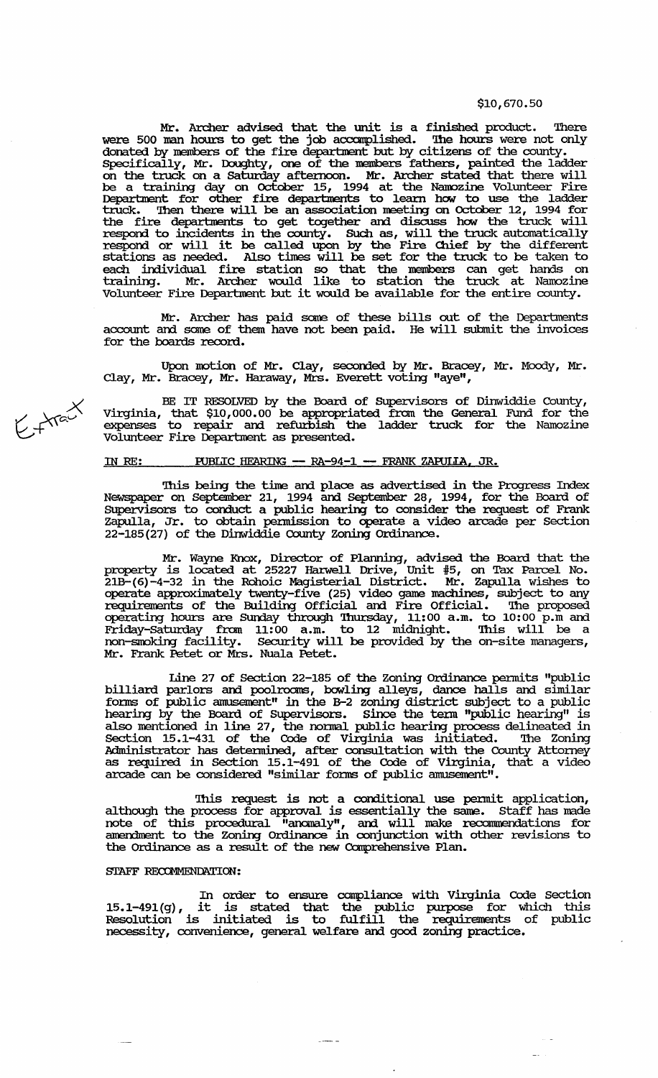### \$10,670.50

Mr. Archer advised that the unit is a finished product. There man hours to get the job accomplished. The hours were not only were 500 man hours to get the job accomplished. The hours were not only donated by members of the fire department but by citizens of the county. Specifically, Mr. Doughty, one of the nenibers fathers, painted the ladder on the truck on a Saturday afternoon. Mr. Archer stated that there will be a training day on October 15, 1994 at the Namozine Volunteer Fire Department for other fire departments to learn how to use the ladder truck. Then there will be an association meeting on October 12, 1994 for the fire departments to get together and discuss how the truck will respond to incidents in the county. Such as, will the truck automatically respond or will it be called upon by the Fire Chief by the different stations as needed. Also times will be set for the truck to be taken to each individual fire station so that the members can get hands on training. Mr. Archer would like to station the truck at Namozine Volunteer Fire Deparboont but it would be available for the entire county.

Mr. Archer has paid same of these bills out of the Departments account and some of them have not been paid. He will submit the invoices for the boards record.

Upon motion of Mr. Clay, secomed by Mr. Bracey, Mr. Moody, Mr. Clay, Mr. Bracey, Mr. Haraway, Mrs. Everett votirg "aye",

BE IT RESOLVED by the Board of Supervisors of Dinwiddie County, virginia, that \$10,000.00 be appropriated from the General Fund for the expenses to repair and refurbish the ladder truck for the Namozine Volunteer Fire Department as presented.

# IN RE: PUBLIC HEARING - RA-94-1 - FRANK ZAPULIA, JR.

'Ibis beirg the tine ani place as advertised in the Progress Index Newspaper on September 21, 1994 and September 28, 1994, for the Board of Supervisors to conduct a public hearing to consider the request of Frank Zapulla, Jr. to obtain pennission to cperate a video arcade per Section  $22 - 185(27)$  of the Dinwiddie County Zoning Ordinance.

Mr. Wayne Knox, Director of Plarming, advised the Board. that the property is located at 25227 Harwell Drive, unit #5, on Tax Parcel No. 2IB-(6)-4-32 in the Rahoic Magisterial District. Mr. Zapulla wishes to operate approximately twenty-five (25) video game machines, subject to any requirements of the Building Official and Fire Official. The proposed operating hours are Sunday through Thursday, 11:00 a.m. to 10:00 p.m and Friday-Saturday from 11:00 a.m. to 12 midnight. This will be a non-smoking facility. Security will be provided by the on-site managers, Mr. Frank Petet or Mrs. Nuala Petet.

Line 27 of Section 22-185 of the Zoning Ordinance pennits "public billiard parlors and poolrooms, bowling alleys, dance halls and similar forms of public amusement" in the B-2 zoning district subject to a public hearing by the Board of Supervisors. Since the term "public hearing" is also mentioned in line 27, the nonnal public hearing process delineated in Section 15.1-431 of the Code of Virginia was initiated. '!he Zoning Administrator has detennined, after consultation with the County Attorney as required in Section 15.1-491 of the Code of Virginia, that a video arcade can be considered "similar forms of public amusement".

This request is not a conditional use permit application, although the process for approval is essentially the same. staff has made note of this procedural "anomaly", and will make recommendations for amendment to the Zoning Ordinance in conjunction with other revisions to the Ordinance as a result of the new Comprehensive Plan.

#### STAFF RECOMMENDATION:

In order to ensure compliance with Virginia Code Section 15.1-491(g), it is stated that the public purpose for which this Resolution is initiated is to fulfill the requirements of public necessity, *corwenience,* general welfare ani good. zoning practice.

 $\sim$   $-$ 

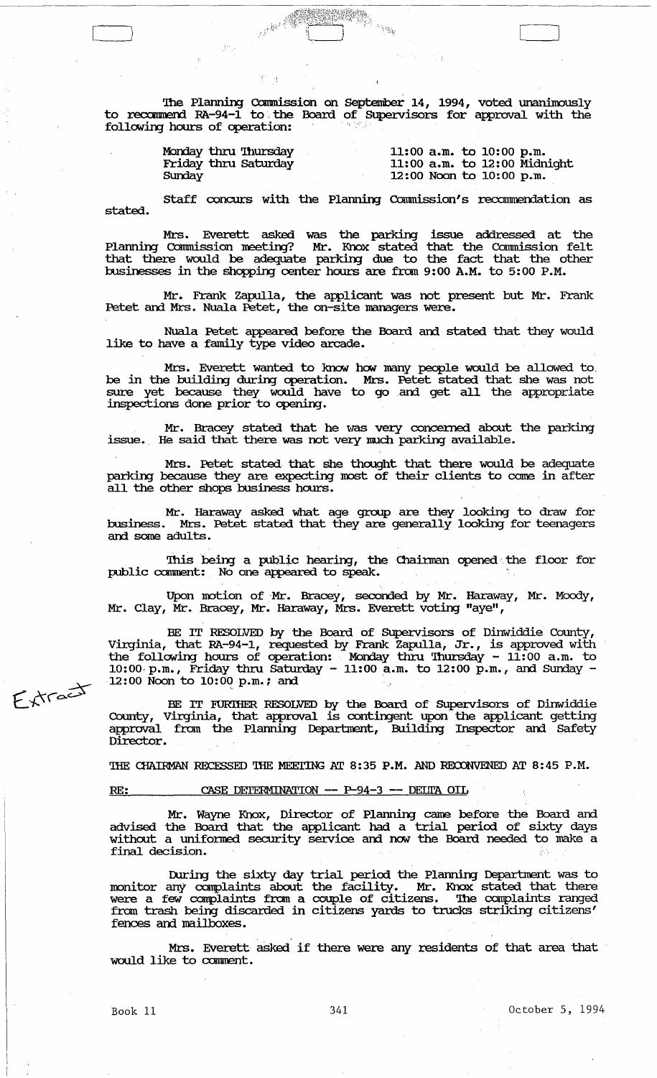The Planning Commission on September 14, 1994, voted unanimously to recommend RA-94-1 to the Board of Supervisors for approval with the following hours of operation:

 $\begin{array}{ccc} \hline \end{array}$ 

Monday thru Thursday Friday thru Saturday Sunday

 $\left\{ \sigma_{\rm{eff}}\right\}$ 

11:00 a.m. to 10:00 p.m. 11:00 a.m. to 12:00 Midnight 12:00 Noon to 10:00 p.m.

stated. staff concurs with the Planning Commission's recommendation as

Mrs. Everett asked was the parking issue addressed at the Planning Commission meeting? Mr. Knox stated that the Commission felt that there would be adequate parking due to the fact that the other businesses in the shopping center hours are from 9:00 A.M. to 5:00 P.M.

Mr. Frank Zapulla, the applicant was not present but Mr. Frank Petet and Mrs. Nuala Petet, the on-site managers were.

Nuala Petet appeared before the Board and stated that they would like to have a family type video arcade.

Mrs. Everett wanted to know how many people would be allowed to. be in the building during operation. Mrs. Petet stated that she was not sure yet because they would have to go and get all the appropriate inspections done prior to opening.

Mr. Bracey stated that he was very concerned about the parking issue.. He said that there was not very much parking available.

Mrs. Petet stated- that she thought that there would be adequate parking because they are expecting most of their clients to come in after all the other shops business hours.

Mr. Haraway asked what age group are they looking to draw for business. Mrs. Petet stated that they are generally looking for teenagers and some adults.

This being a public hearing, the Chairman opened the floor for public comment: No one appeared to speak.

Upon motion of Mr. Bracey, seconded by Mr. Haraway, Mr. Moody, Mr. Clay, Mr. Bracey, Mr. Haraway, Mrs. Everett voting "aye",

BE IT RESOLVED by the Board of SUpervisors of Dinwiddie County, Virginia, that RA-94-1, requested by Frank Zapulla, Jr., is approved with the following hours of operation: Monday thru Thursday - 11:00 a.m. to 10:00 p.m., Friday thru Saturday - 11:00 a.m. to 12:00 p.m., and Sunday -  $12:00$  Noon to  $10:00$  p.m.; and

BE IT FURIHER RESOLVED by the Board of Supervisors of Dinwiddie County, Virginia, that approval is contingent upon the applicant getting approval from the Planning Department, Building Inspector and Safety Director.

THE CHAIRMAN RECESSED THE MEETING AT 8:35 P.M. AND RECONVENED AT 8:45 P.M.

RE: CASE DETERMINATION  $-$  P-94-3  $-$  DEITA OIL

Mr. Wayne Knox, Director of Planning came before the Board and advised the Board that the applicant had a trial period of sixty days without a uniformed security service and now the Board needed to make a final decision.

During the sixty day trial period the Planning Department was to monitor any complaints about the facility. Mr. Knox stated that there were a few complaints from a couple of citizens. The complaints ranged from trash being discarded in citizens yards to trucks striking citizens' fences and mailboxes.

Mrs. Everett aSked if there were any residents of that area that would like to comment.

Extract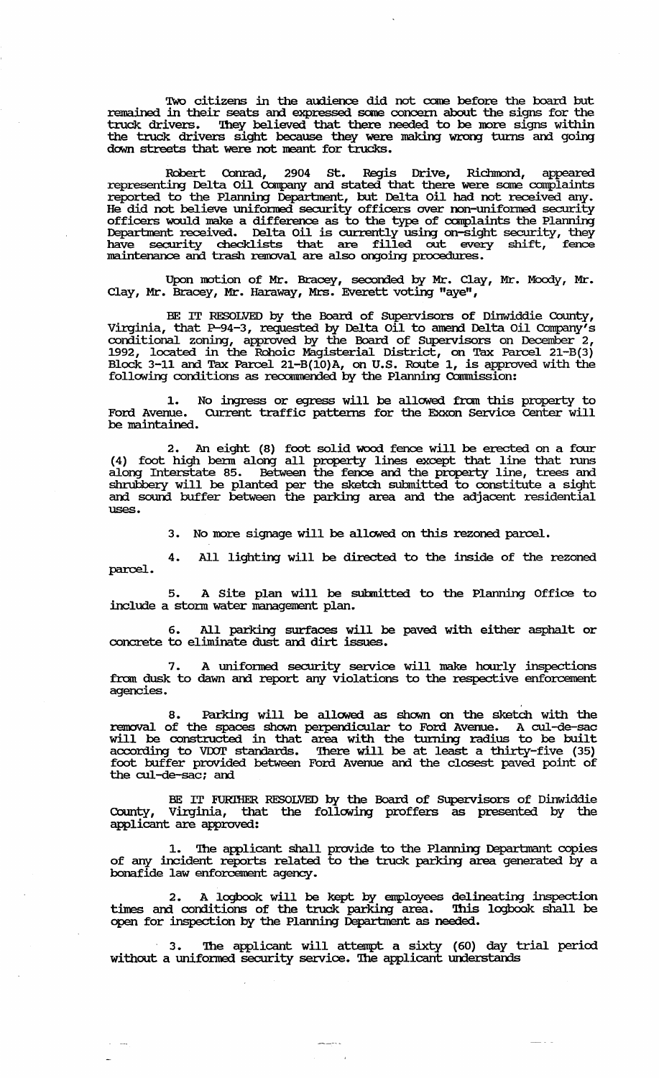Two citizens in the audience did not come before the board but remained in their seats and expressed some concern about the signs for the truck drivers. They believed that there needed to be more signs within<br>the truck drivers sight because they were making wrong turns and going down streets that were not meant for trucks.

2904 St. Conrad, Regis Drive, Richmond, appeared Robert representing Delta Oil Company and stated that there were some complaints<br>reported to the Planning Department, but Delta Oil had not received any.<br>He did not believe uniformed security officers over non-uniformed security officers would make a difference as to the type of complaints the Planning Department received. Delta Oil is currently using on-sight security, they<br>have security checklists that are filled out every shift, fence<br>maintenance and trash removal are also ongoing procedures.

Upon motion of Mr. Bracey, seconded by Mr. Clay, Mr. Moody, Mr. Clay, Mr. Bracey, Mr. Haraway, Mrs. Everett voting "aye",

BE IT RESOLVED by the Board of Supervisors of Dinwiddie County, Virginia, that P-94-3, requested by Delta Oil to amend Delta Oil Company's virginia, that F-34-3, requested by being off to amend being off Company's conditional zoning, approved by the Board of Supervisors on December 2, 1992, located in the Rohoic Magisterial District, on Tax Parcel 21-B(3) Blo

No ingress or egress will be allowed from this property to Current traffic patterns for the Exxon Service Center will Ford Avenue. be maintained.

An eight (8) foot solid wood fence will be erected on a four  $2.$ (4) foot high berm along all property lines except that line that runs along Interstate 85. Between the fence and the property line, trees and shrubbery will be planted per the sketch submitted to constitute a sight and sound buffer between the parking area and the adjacent residential uses.

3. No more signage will be allowed on this rezoned parcel.

 $4.$ All lighting will be directed to the inside of the rezoned parcel.

A Site plan will be submitted to the Planning Office to 5. include a storm water management plan.

6. All parking surfaces will be paved with either asphalt or concrete to eliminate dust and dirt issues.

A uniformed security service will make hourly inspections 7. from dusk to dawn and report any violations to the respective enforcement agencies.

8. Parking will be allowed as shown on the sketch with the removal of the spaces shown perpendicular to Ford Avenue. A cul-de-sac will be constructed in that area with the turning radius to be built according to VDOT stand foot buffer provided between Ford Avenue and the closest paved point of the cul-de-sac; and

BE IT FURTHER RESOLVED by the Board of Supervisors of Dinwiddie County, Virginia, that the following proffers as presented by the applicant are approved:

1. The applicant shall provide to the Planning Departmant copies<br>of any incident reports related to the truck parking area generated by a bonafide law enforcement agency.

2. A logbook will be kept by employees delineating inspection<br>times and conditions of the truck parking area. This logbook shall be<br>open for inspection by the Planning Department as needed.

The applicant will attempt a sixty (60) day trial period з. without a uniformed security service. The applicant understands

 $\frac{1}{2} \frac{1}{2} \frac{1}{2} \frac{1}{2} \frac{1}{2} \frac{1}{2} \frac{1}{2} \frac{1}{2} \frac{1}{2} \frac{1}{2} \frac{1}{2} \frac{1}{2} \frac{1}{2} \frac{1}{2} \frac{1}{2} \frac{1}{2} \frac{1}{2} \frac{1}{2} \frac{1}{2} \frac{1}{2} \frac{1}{2} \frac{1}{2} \frac{1}{2} \frac{1}{2} \frac{1}{2} \frac{1}{2} \frac{1}{2} \frac{1}{2} \frac{1}{2} \frac{1}{2} \frac{1}{2} \frac{$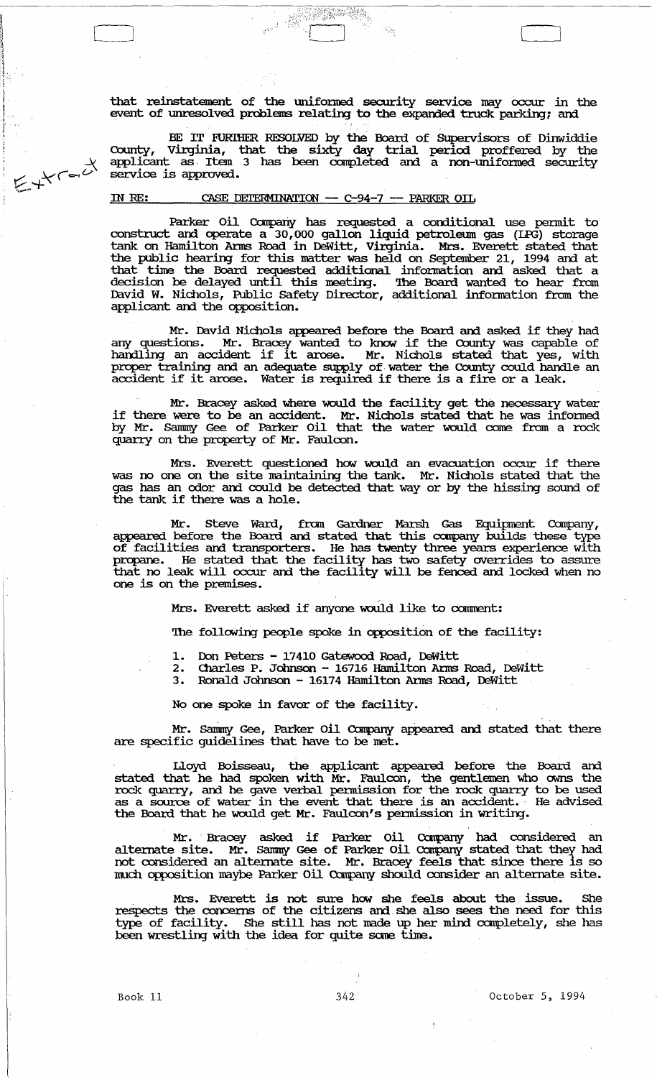that reinstatement of the uniformed security service may occur in the event of unresolved problems relating to the expanded truck parking; and

BE IT FURIHER RESOLVED by the Board of Supervisors of Dinwiddie County, Virginia, that the sixty day trial period proffered by the applicant as Item 3 has been completed and a non-uniformed security service is approved.

## IN RE: CASE DETERMINATION -- C-94-7 -- PARKER OIL

I ; . ~ .t  $,$ 

Extract

Parker Oil Company has requested a conditional use permit to construct and operate a 30,000 gallon liquid petroleum gas (LPG) storage tank on Hamilton Anns Road in DeWitt, Virginia. Mrs. Everett stated that the public hearing for this matter was held on September 21, 1994 and at that time the Board requested additional information and asked that a decision be delayed until this meeting. The Board wanted to hear from David W. Nichols, Public Safety Director, additional infonnation fram the applicant and the opposition.

Mr. David Nichols appeared before the Board and asked if they had any questions. Mr. Bracey wanted to know if the County was capable of any questions. Mr. Bracey wanted to know if the county was capable of<br>handling an accident if it arose. Mr. Nichols stated that yes, with proper training and an adequate supply of water the County could handle an accident if it arose. Water is required if there is a fire or a leak.

Mr. Bracey asked where would the facility get the necessary water if there were to be an accident. Mr. Nichols stated that he was infonned by Mr. Sammy Gee of Parker Oil that the water would come from a rock quany on the property of Mr. Faulcon.

Mrs. Everett questioned how would an evacuation occur if there was no one on the site maintaining the tank. Mr. Nichols stated that the gas has an odor and could be detected that way or by the hissing sound of the tank if there was a hole.

Mr. Steve Ward, from Gardner Marsh Gas Equipment Company, appeared before the Board and stated that this company builds these type of facilities and transporters. He has twenty three years experience with propane. He stated that the facility has two safety overrides to assure that no leak will occur and the facility will be fenced and locked when no one is on the premises.

Mrs. Everett asked if anyone would like to comment:

The following people spoke in opposition of the facility:

- 1. Don Peters 17410 Gatewood Road, DeWitt
- 2. Cllarles P. Jalmsan 16716 Hamilton Anns Road, DeWitt
- 3. Ronald Johnson 16174 Hamilton Anms Road, DeWitt

No one spoke in favor of the facility.

Mr. Sammy Gee, Parker Oil Company appeared and stated that there are specific guidelines that have to be met.

IJ.oyd Boisseau, the applicant appeared before the Board and stated that he had spoken with Mr. Faulcon, the gentlemen who owns the rock quarry, and he gave verbal permission for the rock quarry to be used as a source of water in the event that there is an accident. He advised the Board that he would get Mr. Faulcon's permission in writing.

Mr. Bracey asked if Parker Oil Company had considered an alternate site. Mr. Sammy Gee of Parker Oil Company stated that they had not cxmsidered an alternate site. Mr. Bracey feels that since there is so nuch opposition maybe Parker Oil Company should consider an alternate site.

Mrs. Everett is not sure how she feels about the issue. She respects the concerns of the citizens and she also sees the need for this type of facility. She still has not made up her mind completely, she has been wrestling with the idea for quite some time.

Book 11 342 October 5, 1994

 $\begin{bmatrix} \phantom{-} \end{bmatrix}$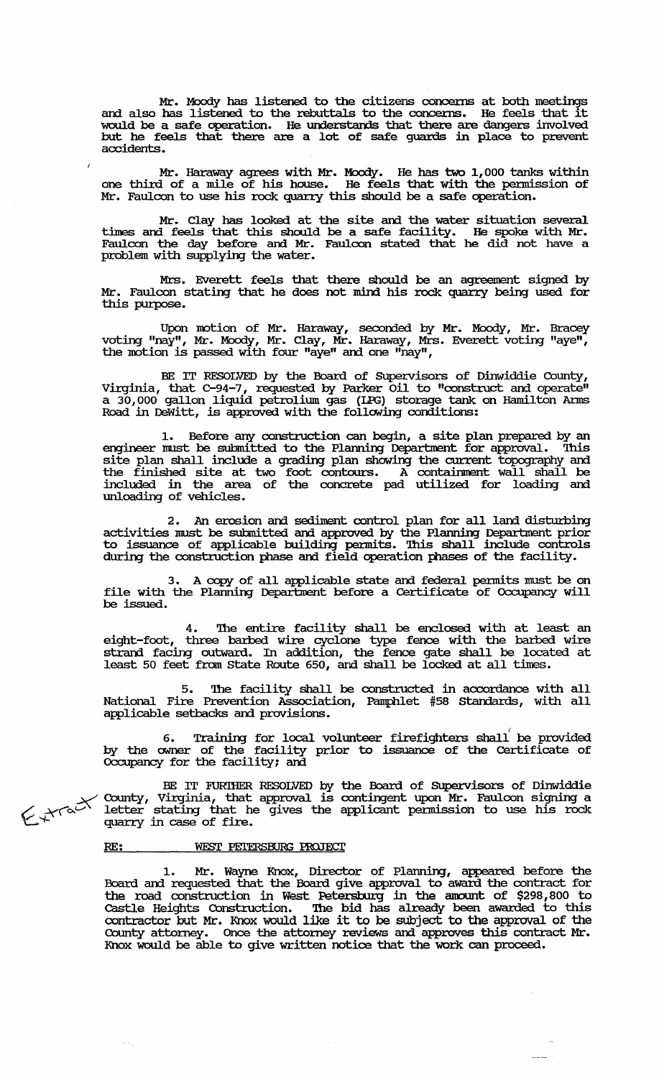Mr. Moody has listened to the citizens concerns at both meetings and also has listened to the rebuttals to the concerns. He feels that it would be a safe operation. He understands that there are dangers involved but he feels that there are a lot of safe guards in place to prevent accidents.

Mr. Haraway agrees with Mr. Moody. He has two 1,000 tanks within one third of a mile of his house. He feels that with the pennission of Mr. Faulcon to use his rock quany this should be a safe operation.

Mr. Clay has looked at the site and the water situation several times and feels that this should be a safe facility. He spoke with Mr. Faulcon the day before and Mr. Faulcon stated that he did not have a problem with supplying the water.

Mrs. Everett feels that there should be an agreement signed by Mr. Faulcon stating that he does not mind his rock quarry being used for this purpose.

Upon motion of Mr. Haraway, seconded by Mr. Moody, Mr. Bracey voting "nay", Mr. Moody, Mr. Clay, Mr. Haraway, Mrs. Everett voting "aye", the motion is passed with four "aye" and one "nay",

BE IT RESOLVED by the Board of SUpervisors of Dinwiddie County, Virginia, that C-94-7, requested by Parker Oil to "construct and operate" a 30,000 gallon liquid petrolium gas (L'EG) storage tank on Hamilton Anns a so, oo gallon ingala peakoriam gas (iio) soonage can

1. Before any construction can begin, a site plan prepared by an engineer must be submitted to the Planning Department for approval. This site plan shall include a grading plan showing the current topography and the finished site at two foot contours. A containment wall shall be included in the area of the concrete pad utilized for loading and unloading of vehicles.

2. An erosion and sediment control plan for all land disturbing activities must be submitted and approved by the Planning Department prior to issuance of applicable building pennits. '!his shall include controls during the construction phase and field cparation phases of the facility.

3. A copy of all applicable state and federal pennits must be on file with the Planning Department before a Certificate of Occupancy will be issued.

4. '!he entire facility shall be enclosed with at least an eight-foot, three barbed wire cyclone type fence with the barbed wire stram facirg outward. In addition, the fence gate shall be located at butant fact by calculate in database, and shall be locked at all times.

The facility shall be constructed in accordance with all National Fire Prevention Association, Pamphlet #58 Standards, with all applicable setbacks and provisions.

6. Training for local volunteer firefighters shall' be provided by the owner of the facility prior to issuance of the Certificate of Occupancy for the facility; and

BE IT FURTHER RESOLVED by the Board of Supervisors of Dinwiddie County, Virginia, that approval is contingent upon Mr. Faulcon signing a  $\sim$   $\sim$  letter stating that he gives the applicant permission to use his rock  $\mathbb{C} \mathbb{C}^{\mathbb{C}}$  quarry in case of fire.

#### RE: WEST PETERSBURG PROJECT

Mr. Wayne Knox, Director of Planning, appeared before the Board and requested that the Board give approval to award the contract for the road construction in West Petersburg in the amount of \$298,800 to castle Heights Construction. '!he bid has already been awarded to this Contractor but Mr. Knox would like it to be subject to the approval of the County attorney. Once the attorney reviews and approves this contract Mr. Knox would be able to give written notice that the work can proceed.

 $\cdot$  .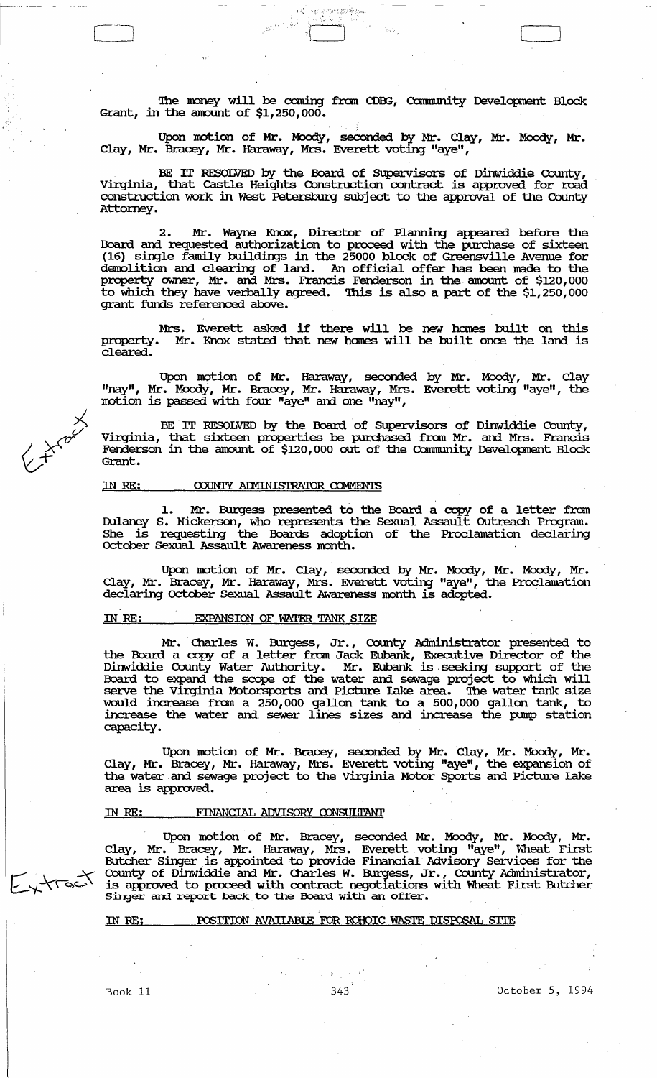The money will be coming from CDBG, Community Development Block Grant, in the amount of \$1,250,000.

Upon motion of Mr. Moody, seconded by Mr. Clay, Mr. Moody, Mr. Clay, Mr. Bracey, Mr. Haraway, Mrs. Everett votirg "aye",

BE IT RESOLVED by the Board of SUpervisors of Dinwiddie County,  $V$ irginia, that Castle Heights Construction contract is approved for road construction work in West Petersburg subject to the approval of the County Attorney.

2. Mr. Wayne Knox, Director of Planning appeared before the Board and requested authorization to proceed with the purchase of sixteen (16) sirgle family buildirgs in the 25000 block of Greensville Avenue for denolition ani clearirg of lani. An official offer has been made to the property owner, Mr. and Mrs. Francis Fenderson in the amount of \$120,000 to which they have verbally agreed. This is also a part of the \$1,250,000 grant funds referenced above.

Mrs. Everett asked if there will be new homes built on this property. Mr. Knox stated that new homes will be built once the land is Mr. Knox stated that new homes will be built once the land is cleared.

Upon motion of Mr. Haraway, seconded by Mr. Moody, Mr. Clay "nay", Mr. Moody, Mr. Bracey, Mr. Haraway, Mrs. Everett votirg "aye", the notion is passed with four "aye" and one "nay",

BE IT RESOLVED by the Board of SUpervisors of Dinwiddie County, Virginia, that sixteen properties be purchased fran Mr. ani Mrs. Francis Fenderson in the amount of \$120,000 out of the Community Development Block Grant.

#### COUNTY ADMINISTRATOR COMMENTS TIl RE:

1. Mr. Burgess presented to the Board a copy of a letter fram Dulaney S. Nickerson, who represents the Sexual Assault Outreach Program. She is requesting the Boards adoption of the Proclamation declaring October Sexual Assault Awareness month.

Upon motion of Mr. Clay, seconded by Mr. Moody, Mr. Moody, Mr. Clay, Mr. Bracey, Mr. Haraway, Mrs. Everett voting "aye", the Proclamation declaring October Sexual Assault Awareness month is adopted.

### IN RE: EXPANSION OF WATER TANK SIZE

Mr. Olarles W. Burgess, Jr., County Administrator presented to the Board a copy of a letter fran Jack Eubank, Executive Director of the Dinwiddie County Water Authority. Mr. Eubank is. seeking support of the Board to expand the scope of the water and sewage project to which will serve the Virginia Motorsports and Picture Lake area. The water tank size would increase fran a 250,000 gallon tank to a 500,000 gallon tank, to increase the water and sewer lines sizes and increase the pump station capacity.

Upon motion of Mr. Bracey, seconded by Mr. Clay, Mr. Moody, Mr. Clay, Mr. Bracey, Mr. Haraway, Mrs. Everett voting "aye", the expansion of the water ani sewage project to the Virginia Motor Sports ani picture lake area is approved.

#### IN RE: FINANCIAL ADVISORY CONSULTANT

Upon motion of Mr. Bracey, seconded Mr. Moody, Mr. Moody, Mr. Clay, Mr. Bracey, Mr. Haraway, Mrs. Everett voting "aye", Wheat First Butcher Singer is appointed to provide Financial Advisory Services for the County of Dinwiddie ani Mr. Olarles W. Burgess, Jr., County Administrator, is approved. to proceed with contract negotiations with Wheat First Butcher singer and report back to the Board with an offer.

#### IN RE; ROSITION AVAILABLE FOR ROHOIC WASTE DISPOSAL SITE

Extract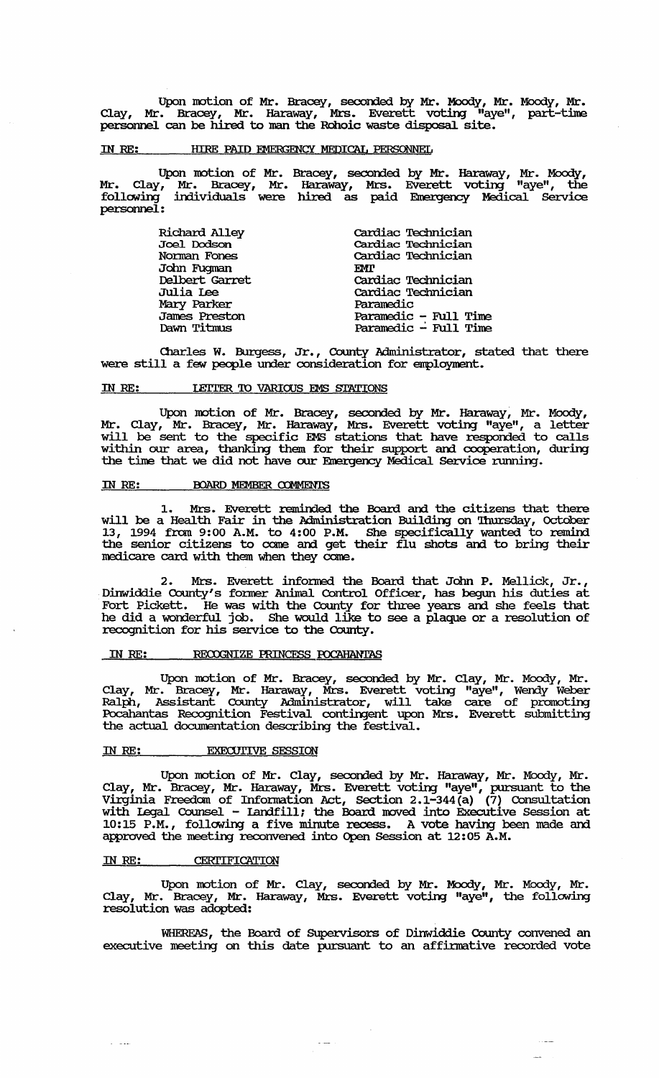Upon motion of Mr. Bracey, seconded by Mr. Moody, Mr. Moody, Mr. Clay, Mr. Bracey, Mr. Haraway, Mrs. Everett voting "aye", part-time personnel can be hired to man the Rohoic waste disposal site.

# IN RE: HIRE PAID EMERGENCY MEDICAL PERSONNEL

Upon motion of Mr. Bracey, seconded by Mr. Haraway, Mr. Moody, Mr. Clay, Mr. Bracey, Mr. Haraway, Mrs. Everett voting "aye", the following individuals were hired as paid Emergency Medical Service personnel:

| <b>Richard Alley</b> | Cardiac Technician    |
|----------------------|-----------------------|
| Joel Dodson          | Cardiac Technician    |
| Norman Fones         | Cardiac Technician    |
| John Fugman          | <b>FMT</b>            |
| Delbert Garret       | Cardiac Technician    |
| Julia Lee            | Cardiac Technician    |
| Mary Parker          | Paramedic             |
| James Preston        | Paramedic - Full Time |
| Dawn Titmus          | Paramedic - Full Time |
|                      |                       |

Charles W. Burgess, Jr., County Administrator, stated that there were still a few people under consideration for employment.

### IN RE: **IETTER TO VARIOUS EMS STATIONS**

Upon motion of Mr. Bracey, seconded by Mr. Haraway, Mr. Moody, Mr. Clay, Mr. Bracey, Mr. Haraway, Mrs. Everett voting "aye", a letter will be sent to the specific EMS stations that have respomed to calls within our area, thanking them for their support and cooperation, during the time that we did not have our Emergency Medical Service running.

### IN RE: BOARD MEMBER COMMENIS

1. Mrs. Everett reminded the Board and the citizens that there will be a Health Fair in the Administration Building on Thursday, October 13, 1994 from 9:00 A.M. to 4:00 P.M. She specifically wanted to remind the senior citizens to oome am get their flu shots am to bring their medicare card with them when they come.

2. Mrs. Everett infontai the Board that John P. Mellick, Jr., Dinwiddie County's fonner Anilnal Control Officer, has begun his duties at Fort pickett. He was with the County for three years am she feels that he did a womerful jab. She would like to see a plaque or a resolution of recognition for his service to the County.

### IN RE: RECOGNIZE PRINCESS POCAHANTAS

Upon motion of Mr. Bracey, seconded by Mr. Clay, Mr. Moody, Mr. Clay, Mr. Bracey, Mr. Haraway, Mrs. Everett voting "aye", Wendy Weber Ralph, Assistant County Administrator, will take care of promoting Pocahantas Recognition Festival contingent upon Mrs. Everett submitting the actual documentation describing the festival.

### IN RE: EXECUTIVE SESSION

Upon motion of Mr. Clay, seconded by Mr. Haraway, Mr. Moody, Mr. Clay, Mr. Bracey, Mr. Haraway, Mrs. Everett votirg "aye", pursuant to the Virginia Freedom of Information Act, Section 2.1-344(a) (7) Consultation with Iegal Counsel - Iandfill; the Board moved into Executive Session at 10:15 P.M., following a five minute recess. A vote having been made ani approved the meeting reconvened into Open Session at 12:05 A.M.

#### IN RE: CERTIFICATION

 $\sim$  100  $\pm$ 

Upon motion of Mr. Clay, seconded by Mr. Moody, Mr. Moody, Mr. Clay, Mr. Bracey, Mr. Haraway, Mrs. Everett voting "aye", the following resolution was adopted:

WHEREAS, the Board of Supervisors of Dinwiddie County convened an executive meeting on this date pursuant to an affinnative recorded vote

 $\alpha$  ,  $\alpha$  , and  $\alpha$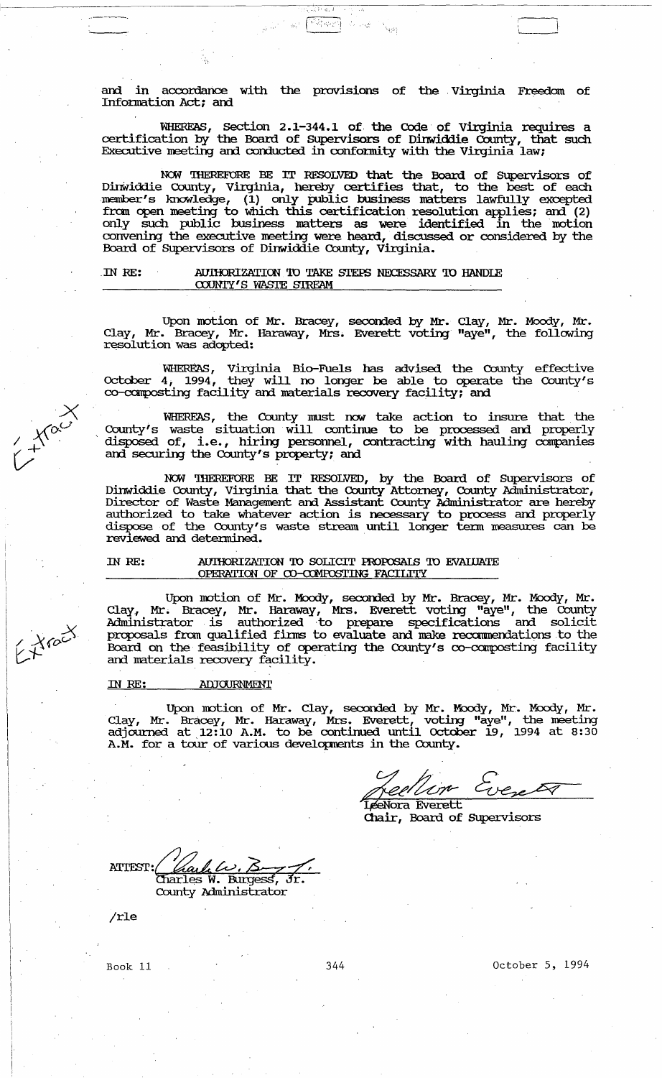and in accordance with the provisions of the Virginia Freedom of Information Act; and

WHEREAS, Section 2.1-344.1 of the Code of Virginia requires a certification by the Board of Supervisors of Dirwiddie County, that such Executive meeting and conducted in conformity with the Virginia law;

NOW THEREFORE BE IT RESOLVED that the Board of Supervisors of<br>Dinwiddie County, Virginia, hereby certifies that, to the best of each<br>member's knowledge, (1) only public business matters lawfully excepted<br>from open meeting convening the executive meeting were heard, discussed or considered by the Board of Supervisors of Dinwiddie County, Virginia.

#### AUIHORIZATION TO TAKE STEPS NECESSARY TO HANDLE IN RE: **COUNTY'S WASTE STREAM**

Upon motion of Mr. Bracey, seconded by Mr. Clay, Mr. Moody, Mr. Clay, Mr. Bracey, Mr. Haraway, Mrs. Everett voting "aye", the following resolution was adopted:

WHEREAS, Virginia Bio-Fuels has advised the County effective<br>October 4, 1994, they will no longer be able to operate the County's co-composting facility and materials recovery facility; and

WHEREAS, the County must now take action to insure that the County's waste situation will continue to be processed and properly disposed of, i.e., hiring personnel, contracting with hauling companies and securing the County's property; and

NOW THEREFORE BE IT RESOLVED, by the Board of Supervisors of<br>Dinwiddie County, Virginia that the County Attorney, County Administrator,<br>Director of Waste Management and Assistant County Administrator are hereby<br>authorized reviewed and determined.

# $\begin{tabular}{ll} \multicolumn{2}{l}{{\bf A}\textit{JIH} \textit{ORIZATION}} & \multicolumn{2}{l}{\bf TO} & \multicolumn{2}{l}{\bf SOILCIT} & \multicolumn{2}{l}{\bf PROPOSAIS} & \multicolumn{2}{l}{\bf TO} & \multicolumn{2}{l}{\bf EVALUATE} \\ \multicolumn{2}{l}{\bf OPERAITON} & \multicolumn{2}{l}{\bf OF} & \multicolumn{2}{l}{\bf CO-COMPOSTING} & \multicolumn{2}{l}{\bf FACILITY} \\ \multicolumn{2}{l}{\bf OPERAITON} & \multicolumn{2}{l}{\bf OF} & \multicolumn{$ **IN RE:**

Upon motion of Mr. Moody, seconded by Mr. Bracey, Mr. Moody, Mr.<br>Clay, Mr. Bracey, Mr. Haraway, Mrs. Everett voting "aye", the County<br>Administrator is authorized to prepare specifications and solicit proposals from qualified firms to evaluate and make recommendations to the Board on the feasibility of operating the County's co-composting facility and materials recovery facility.

#### ADJOURNMENT IN RE:

Upon motion of Mr. Clay, seconded by Mr. Moody, Mr. Moody, Mr. Clay, Mr. Bracey, Mr. Haraway, Mrs. Everett, voting "aye", the meeting adjourned at 12:10 A.M. to be continued until October 19, 1994 at 8:30 A.M. for a tour o

feellin LeeNora Everett

Chair, Board of Supervisors

**ATTEST:** Charles W. Burgess, Jr. County Administrator

 $/$ rle

 $y^2$ 

Etract

Book 11

October 5, 1994